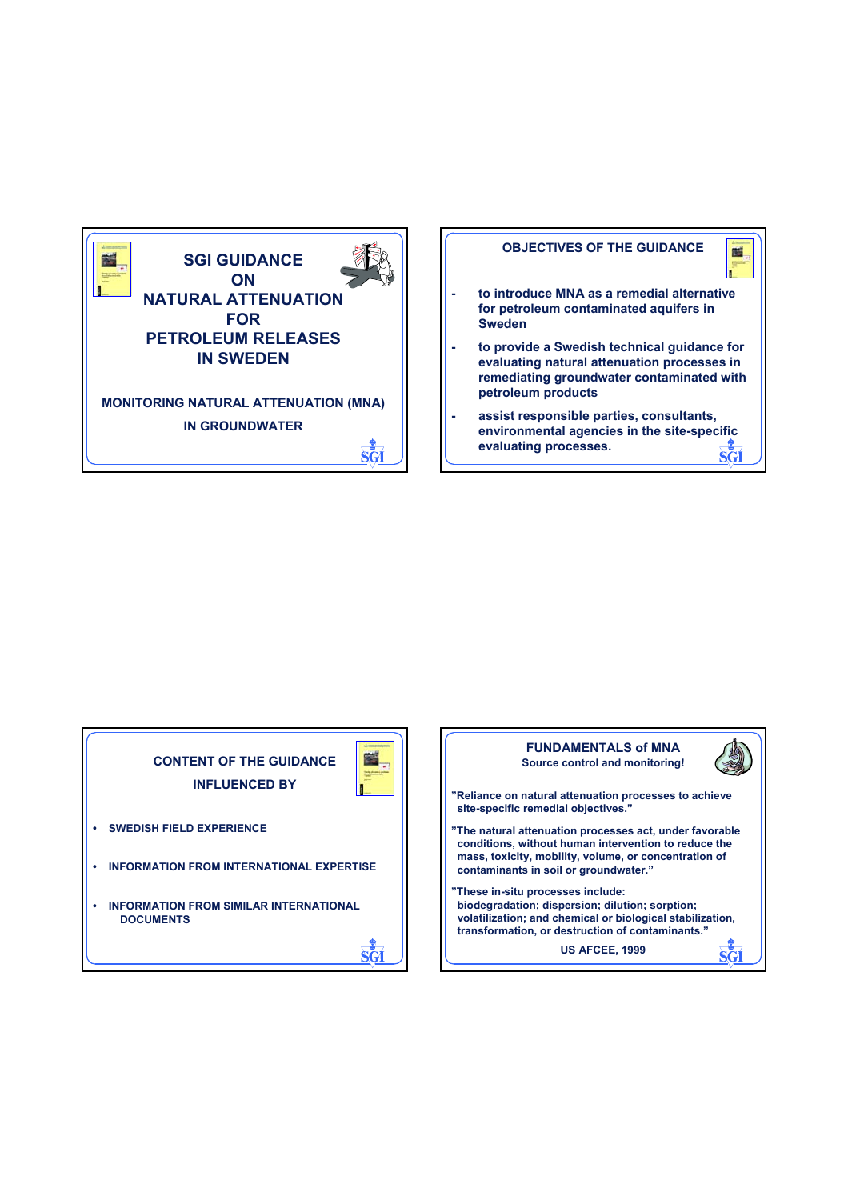

## **OBJECTIVES OF THE GUIDANCE**



- **to introduce MNA as a remedial alternative for petroleum contaminated aquifers in Sweden**
- **to provide a Swedish technical guidance for evaluating natural attenuation processes in remediating groundwater contaminated with petroleum products**
- **assist responsible parties, consultants, environmental agencies in the site-specific evaluating processes.**



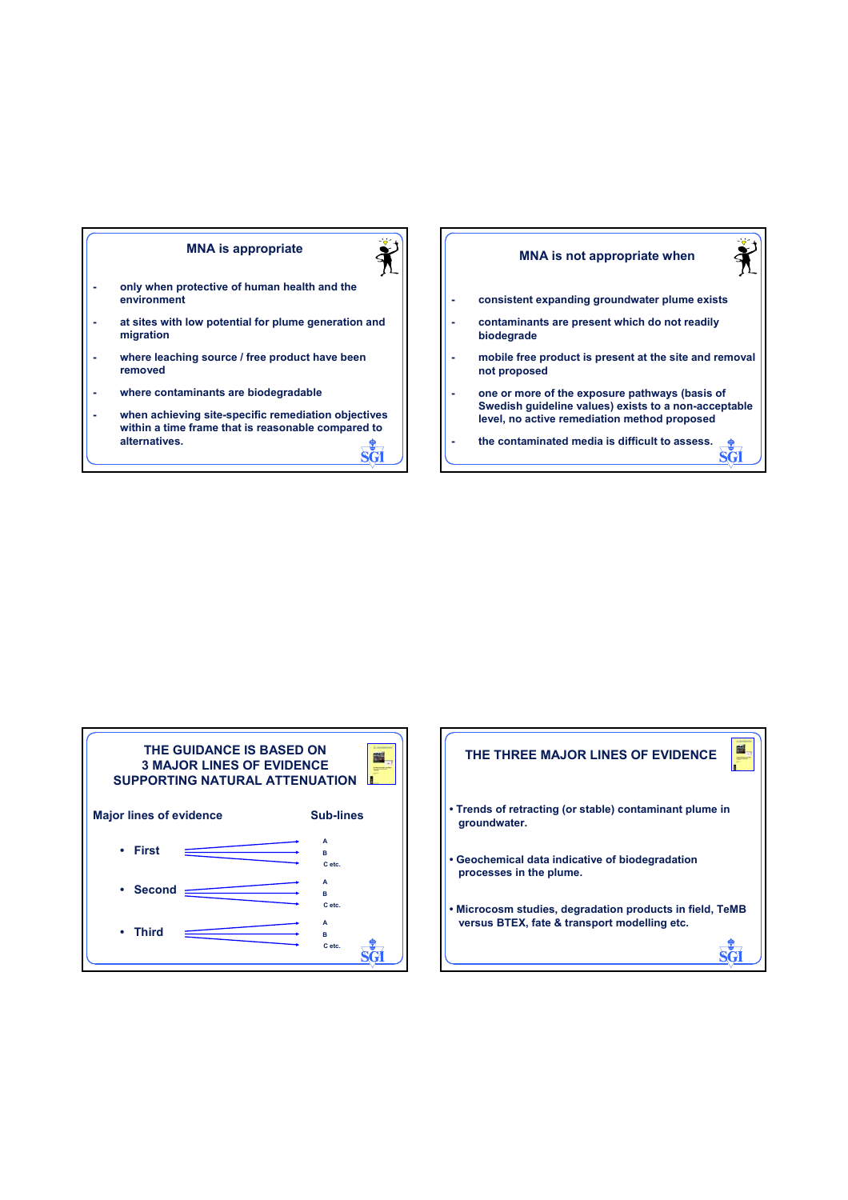## **MNA is appropriate**



- **only when protective of human health and the environment**
- **at sites with low potential for plume generation and migration**
- **where leaching source / free product have been removed**
- **where contaminants are biodegradable**
- **when achieving site-specific remediation objectives within a time frame that is reasonable compared to alternatives.** षत्य

## **MNA is not appropriate when**



भूष

- **consistent expanding groundwater plume exists**
- **contaminants are present which do not readily biodegrade**
- **mobile free product is present at the site and removal not proposed**
- **one or more of the exposure pathways (basis of Swedish guideline values) exists to a non-acceptable level, no active remediation method proposed**
- **the contaminated media is difficult to assess.**



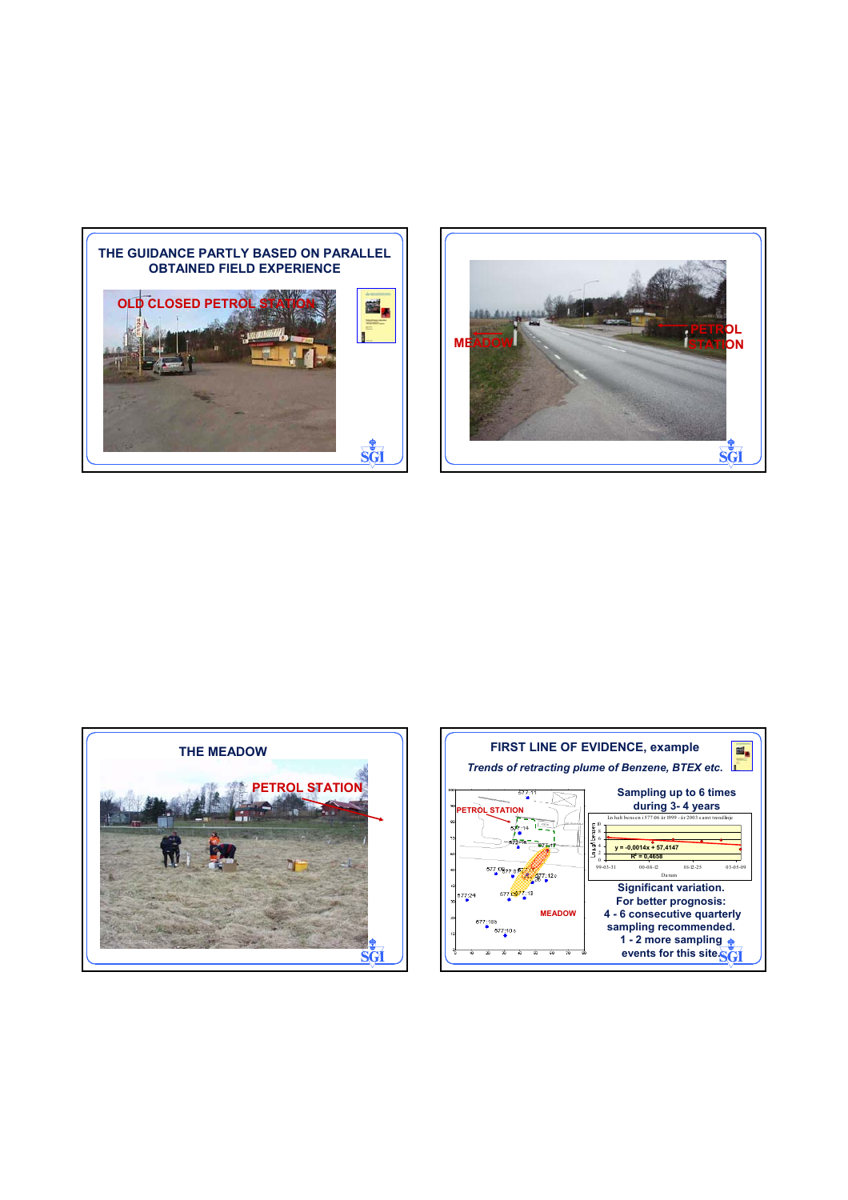